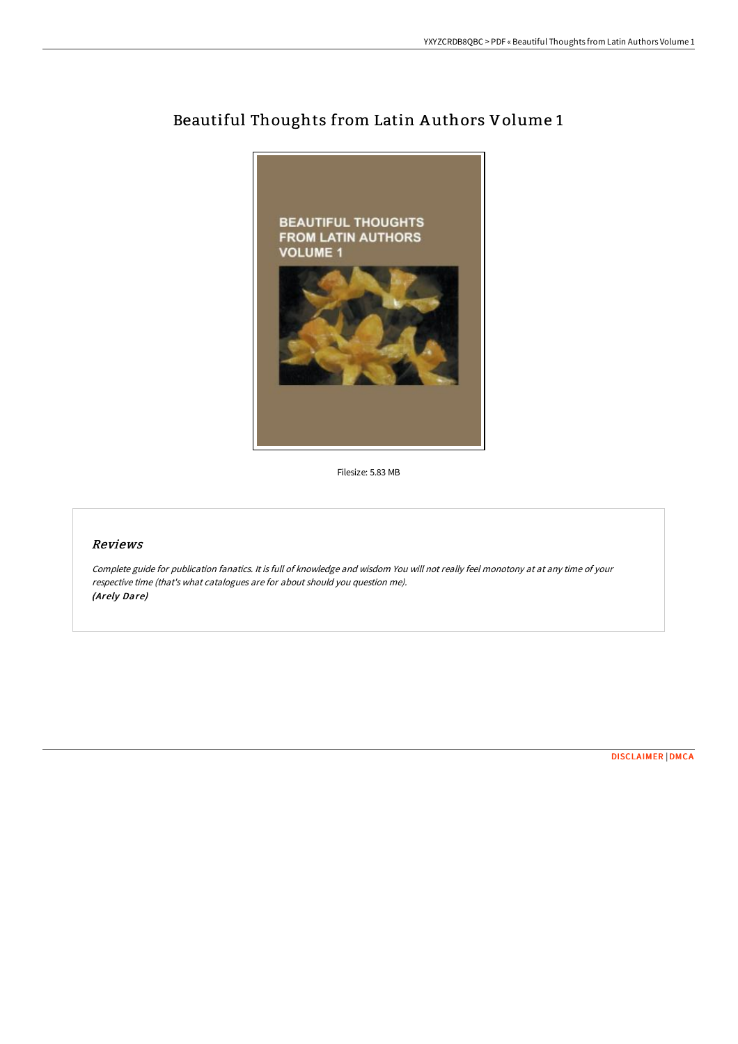

# Beautiful Thoughts from Latin A uthors Volume 1

Filesize: 5.83 MB

# Reviews

Complete guide for publication fanatics. It is full of knowledge and wisdom You will not really feel monotony at at any time of your respective time (that's what catalogues are for about should you question me). (Arely Dare)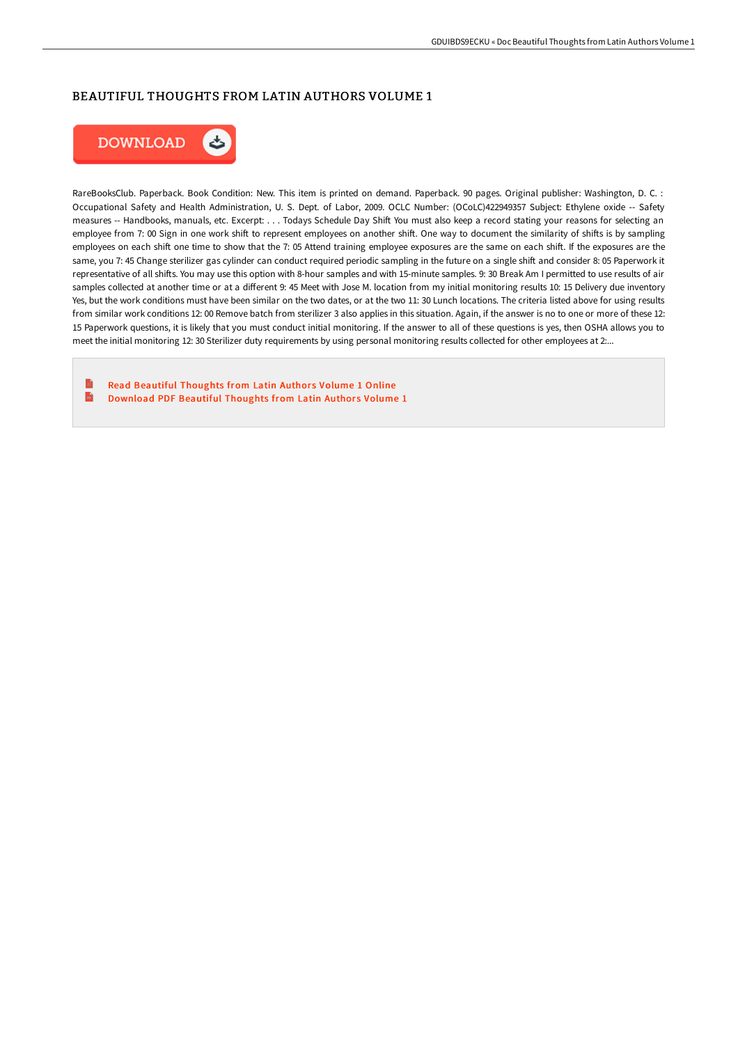## BEAUTIFUL THOUGHTS FROM LATIN AUTHORS VOLUME 1



RareBooksClub. Paperback. Book Condition: New. This item is printed on demand. Paperback. 90 pages. Original publisher: Washington, D. C. : Occupational Safety and Health Administration, U. S. Dept. of Labor, 2009. OCLC Number: (OCoLC)422949357 Subject: Ethylene oxide -- Safety measures -- Handbooks, manuals, etc. Excerpt: . . . Todays Schedule Day Shift You must also keep a record stating your reasons for selecting an employee from 7: 00 Sign in one work shift to represent employees on another shift. One way to document the similarity of shifts is by sampling employees on each shift one time to show that the 7:05 Attend training employee exposures are the same on each shift. If the exposures are the same, you 7: 45 Change sterilizer gas cylinder can conduct required periodic sampling in the future on a single shift and consider 8: 05 Paperwork it representative of all shifts. You may use this option with 8-hour samples and with 15-minute samples. 9: 30 Break Am I permitted to use results of air samples collected at another time or at a different 9: 45 Meet with Jose M. location from my initial monitoring results 10: 15 Delivery due inventory Yes, but the work conditions must have been similar on the two dates, or at the two 11: 30 Lunch locations. The criteria listed above for using results from similar work conditions 12: 00 Remove batch from sterilizer 3 also applies in this situation. Again, if the answer is no to one or more of these 12: 15 Paperwork questions, it is likely that you must conduct initial monitoring. If the answer to all of these questions is yes, then OSHA allows you to meet the initial monitoring 12: 30 Sterilizer duty requirements by using personal monitoring results collected for other employees at 2....

B Read Beautiful [Thoughts](http://techno-pub.tech/beautiful-thoughts-from-latin-authors-volume-1.html) from Latin Authors Volume 1 Online  $\mathbf{m}$ [Download](http://techno-pub.tech/beautiful-thoughts-from-latin-authors-volume-1.html) PDF Beautiful Thoughts from Latin Authors Volume 1